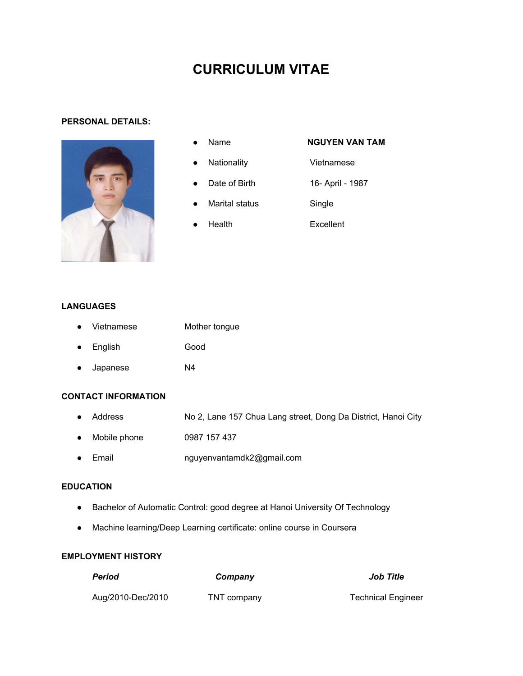# **CURRICULUM VITAE**

### **PERSONAL DETAILS:**



- 
- Name **NGUYEN VAN TAM**
	- Nationality **Vietnamese**
	- Date of Birth 16- April 1987
	- Marital status **Single**
	- Health **Excellent**

## **LANGUAGES**

- Vietnamese Mother tongue ● English Good
- Japanese N4

## **CONTACT INFORMATION**

- Address No 2, Lane 157 Chua Lang street, Dong Da District, Hanoi City
- Mobile phone 0987 157 437
- Email nguyenvantamdk2@gmail.com

### **EDUCATION**

- Bachelor of Automatic Control: good degree at Hanoi University Of Technology
- Machine learning/Deep Learning certificate: online course in Coursera

## **EMPLOYMENT HISTORY**

| Period            | Company     | <b>Job Title</b>          |
|-------------------|-------------|---------------------------|
| Aug/2010-Dec/2010 | TNT company | <b>Technical Engineer</b> |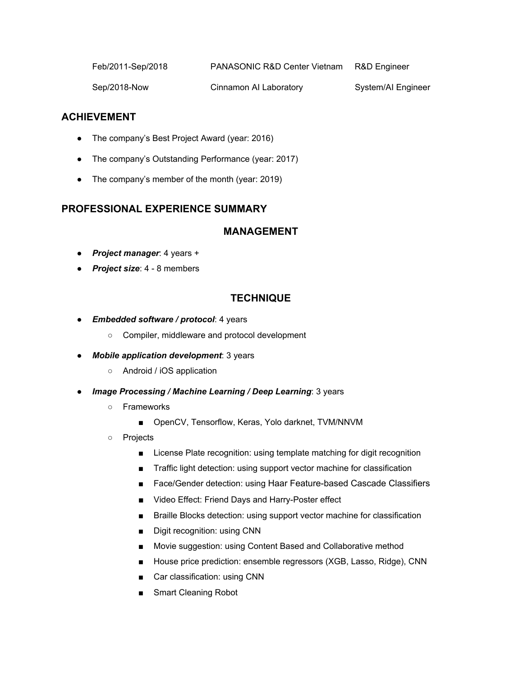| R&D Engineer |
|--------------|
|              |

Sep/2018-Now Cinnamon AI Laboratory System/AI Engineer

## **ACHIEVEMENT**

- The company's Best Project Award (year: 2016)
- The company's Outstanding Performance (year: 2017)
- The company's member of the month (year: 2019)

## **PROFESSIONAL EXPERIENCE SUMMARY**

## **MANAGEMENT**

- *Project manager*: 4 years +
- *Project size*: 4 8 members

## **TECHNIQUE**

- *Embedded software / protocol*: 4 years
	- Compiler, middleware and protocol development
- *Mobile application development*: 3 years
	- Android / iOS application
- *Image Processing / Machine Learning / Deep Learning*: 3 years
	- Frameworks
		- OpenCV, Tensorflow, Keras, Yolo darknet, TVM/NNVM
	- Projects
		- License Plate recognition: using template matching for digit recognition
		- Traffic light detection: using support vector machine for classification
		- Face/Gender detection: using Haar Feature-based Cascade Classifiers
		- **■** Video Effect: Friend Days and Harry-Poster effect
		- Braille Blocks detection: using support vector machine for classification
		- Digit recognition: using CNN
		- Movie suggestion: using Content Based and Collaborative method
		- House price prediction: ensemble regressors (XGB, Lasso, Ridge), CNN
		- Car classification: using CNN
		- Smart Cleaning Robot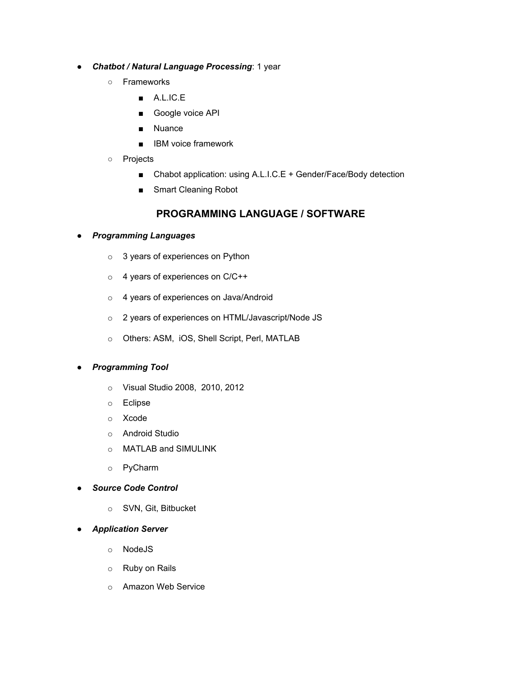## ● *Chatbot / Natural Language Processing*: 1 year

- Frameworks
	- A.L.IC.E
	- Google voice API
	- Nuance
	- IBM voice framework
- Projects
	- Chabot application: using A.L.I.C.E + Gender/Face/Body detection
	- Smart Cleaning Robot

## **PROGRAMMING LANGUAGE / SOFTWARE**

## ● *Programming Languages*

- o 3 years of experiences on Python
- o 4 years of experiences on C/C++
- o 4 years of experiences on Java/Android
- o 2 years of experiences on HTML/Javascript/Node JS
- o Others: ASM, iOS, Shell Script, Perl, MATLAB

## ● *Programming Tool*

- o Visual Studio 2008, 2010, 2012
- o Eclipse
- o Xcode
- o Android Studio
- o MATLAB and SIMULINK
- o PyCharm
- *Source Code Control*
	- o SVN, Git, Bitbucket
- *Application Server*
	- o NodeJS
	- o Ruby on Rails
	- o Amazon Web Service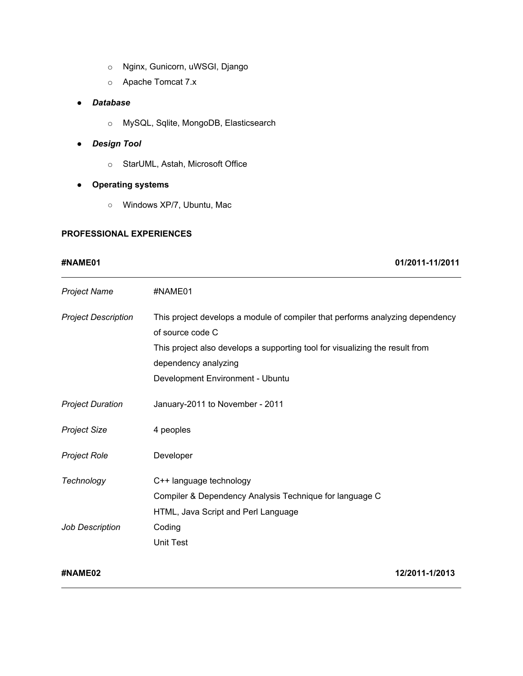- o Nginx, Gunicorn, uWSGI, Django
- o Apache Tomcat 7.x

### ● *Database*

- o MySQL, Sqlite, MongoDB, Elasticsearch
- *Design Tool*
	- o StarUML, Astah, Microsoft Office
- **● Operating systems**
	- Windows XP/7, Ubuntu, Mac

### **PROFESSIONAL EXPERIENCES**

### **#NAME01 01/2011-11/2011**

| <b>Project Name</b>                  | #NAME01                                                                                                                                                                                                                                       |
|--------------------------------------|-----------------------------------------------------------------------------------------------------------------------------------------------------------------------------------------------------------------------------------------------|
| <b>Project Description</b>           | This project develops a module of compiler that performs analyzing dependency<br>of source code C<br>This project also develops a supporting tool for visualizing the result from<br>dependency analyzing<br>Development Environment - Ubuntu |
| <b>Project Duration</b>              | January-2011 to November - 2011                                                                                                                                                                                                               |
| <b>Project Size</b>                  | 4 peoples                                                                                                                                                                                                                                     |
| <b>Project Role</b>                  | Developer                                                                                                                                                                                                                                     |
| Technology<br><b>Job Description</b> | C++ language technology<br>Compiler & Dependency Analysis Technique for language C<br>HTML, Java Script and Perl Language<br>Coding                                                                                                           |
|                                      | <b>Unit Test</b>                                                                                                                                                                                                                              |

**#NAME02 12/2011-1/2013**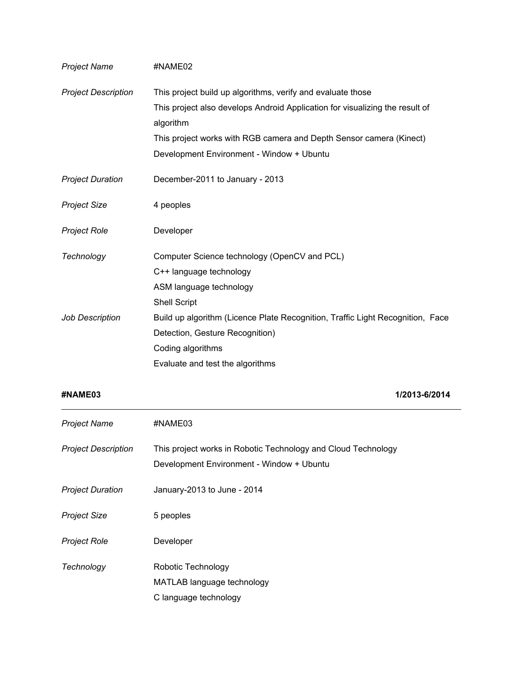| <b>Project Name</b>        | #NAME02                                                                                   |
|----------------------------|-------------------------------------------------------------------------------------------|
| <b>Project Description</b> | This project build up algorithms, verify and evaluate those                               |
|                            | This project also develops Android Application for visualizing the result of<br>algorithm |
|                            | This project works with RGB camera and Depth Sensor camera (Kinect)                       |
|                            | Development Environment - Window + Ubuntu                                                 |
| <b>Project Duration</b>    | December-2011 to January - 2013                                                           |
| <b>Project Size</b>        | 4 peoples                                                                                 |
| <b>Project Role</b>        | Developer                                                                                 |
| Technology                 | Computer Science technology (OpenCV and PCL)                                              |
|                            | C++ language technology                                                                   |
|                            | ASM language technology                                                                   |
|                            | <b>Shell Script</b>                                                                       |
| <b>Job Description</b>     | Build up algorithm (Licence Plate Recognition, Traffic Light Recognition, Face            |
|                            | Detection, Gesture Recognition)                                                           |
|                            | Coding algorithms                                                                         |
|                            | Evaluate and test the algorithms                                                          |

**#NAME03 1/2013-6/2014**

| <b>Project Name</b>        | #NAME03                                                                                                    |
|----------------------------|------------------------------------------------------------------------------------------------------------|
| <b>Project Description</b> | This project works in Robotic Technology and Cloud Technology<br>Development Environment - Window + Ubuntu |
| <b>Project Duration</b>    | January-2013 to June - 2014                                                                                |
| <b>Project Size</b>        | 5 peoples                                                                                                  |
| <b>Project Role</b>        | Developer                                                                                                  |
| Technology                 | Robotic Technology                                                                                         |
|                            | MATLAB language technology                                                                                 |
|                            | C language technology                                                                                      |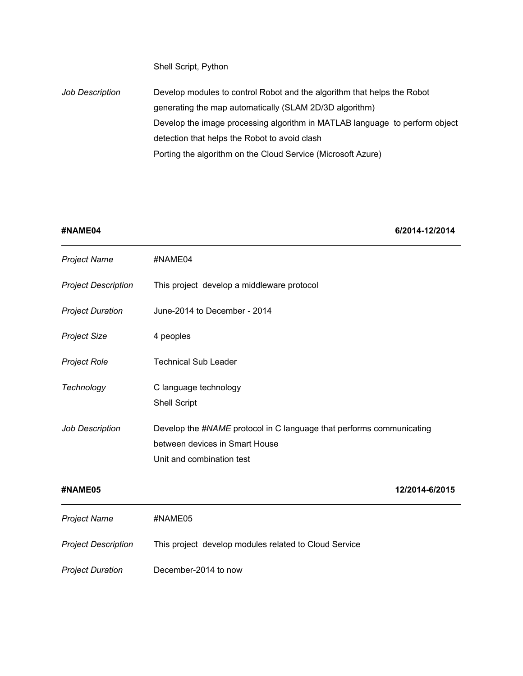Shell Script, Python

*Job Description* Develop modules to control Robot and the algorithm that helps the Robot generating the map automatically (SLAM 2D/3D algorithm) Develop the image processing algorithm in MATLAB language to perform object detection that helps the Robot to avoid clash Porting the algorithm on the Cloud Service (Microsoft Azure)

**#NAME04 6/2014-12/2014**

| <b>Project Name</b>        | #NAME04                                                                                                                             |
|----------------------------|-------------------------------------------------------------------------------------------------------------------------------------|
| <b>Project Description</b> | This project develop a middleware protocol                                                                                          |
| <b>Project Duration</b>    | June-2014 to December - 2014                                                                                                        |
| <b>Project Size</b>        | 4 peoples                                                                                                                           |
| <b>Project Role</b>        | <b>Technical Sub Leader</b>                                                                                                         |
| Technology                 | C language technology<br><b>Shell Script</b>                                                                                        |
| Job Description            | Develop the #NAME protocol in C language that performs communicating<br>between devices in Smart House<br>Unit and combination test |
| #NAME05                    | 12/2014-6/2015                                                                                                                      |
| <b>Project Name</b>        | #NAME05                                                                                                                             |
| <b>Project Description</b> | This project develop modules related to Cloud Service                                                                               |
| <b>Project Duration</b>    | December-2014 to now                                                                                                                |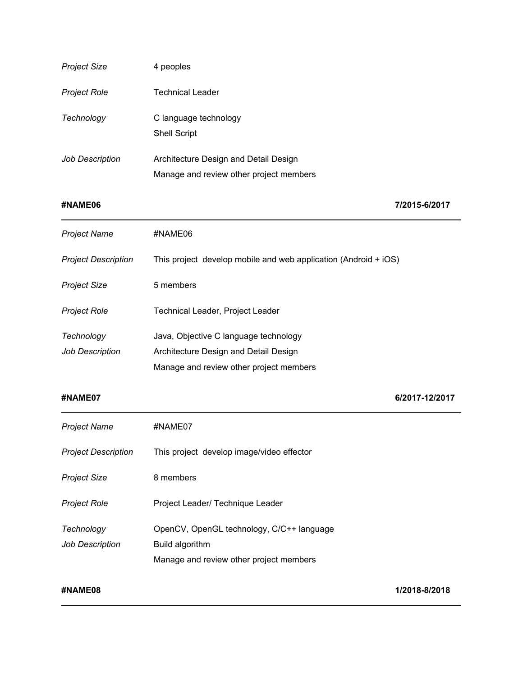| <b>Project Size</b>                  | 4 peoples                                                                                                                 |                |
|--------------------------------------|---------------------------------------------------------------------------------------------------------------------------|----------------|
| <b>Project Role</b>                  | <b>Technical Leader</b>                                                                                                   |                |
| Technology                           | C language technology<br><b>Shell Script</b>                                                                              |                |
| Job Description                      | Architecture Design and Detail Design<br>Manage and review other project members                                          |                |
| #NAME06                              |                                                                                                                           | 7/2015-6/2017  |
| <b>Project Name</b>                  | #NAME06                                                                                                                   |                |
| <b>Project Description</b>           | This project develop mobile and web application (Android + iOS)                                                           |                |
| <b>Project Size</b>                  | 5 members                                                                                                                 |                |
| <b>Project Role</b>                  | Technical Leader, Project Leader                                                                                          |                |
| Technology<br><b>Job Description</b> | Java, Objective C language technology<br>Architecture Design and Detail Design<br>Manage and review other project members |                |
| #NAME07                              |                                                                                                                           | 6/2017-12/2017 |
| <b>Project Name</b>                  | #NAME07                                                                                                                   |                |
| <b>Project Description</b>           | This project develop image/video effector                                                                                 |                |
| <b>Project Size</b>                  | 8 members                                                                                                                 |                |
| <b>Project Role</b>                  | Project Leader/ Technique Leader                                                                                          |                |
| Technology<br><b>Job Description</b> | OpenCV, OpenGL technology, C/C++ language<br>Build algorithm<br>Manage and review other project members                   |                |
| #NAME08                              |                                                                                                                           | 1/2018-8/2018  |